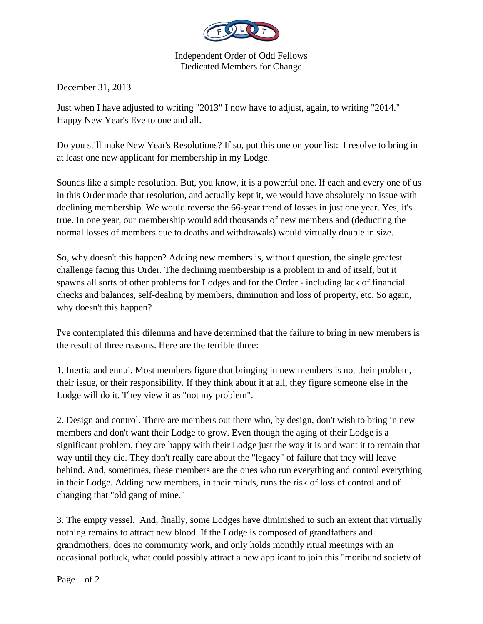

Independent Order of Odd Fellows Dedicated Members for Change

December 31, 2013

Just when I have adjusted to writing "2013" I now have to adjust, again, to writing "2014." Happy New Year's Eve to one and all.

Do you still make New Year's Resolutions? If so, put this one on your list: I resolve to bring in at least one new applicant for membership in my Lodge.

Sounds like a simple resolution. But, you know, it is a powerful one. If each and every one of us in this Order made that resolution, and actually kept it, we would have absolutely no issue with declining membership. We would reverse the 66-year trend of losses in just one year. Yes, it's true. In one year, our membership would add thousands of new members and (deducting the normal losses of members due to deaths and withdrawals) would virtually double in size.

So, why doesn't this happen? Adding new members is, without question, the single greatest challenge facing this Order. The declining membership is a problem in and of itself, but it spawns all sorts of other problems for Lodges and for the Order - including lack of financial checks and balances, self-dealing by members, diminution and loss of property, etc. So again, why doesn't this happen?

I've contemplated this dilemma and have determined that the failure to bring in new members is the result of three reasons. Here are the terrible three:

1. Inertia and ennui. Most members figure that bringing in new members is not their problem, their issue, or their responsibility. If they think about it at all, they figure someone else in the Lodge will do it. They view it as "not my problem".

2. Design and control. There are members out there who, by design, don't wish to bring in new members and don't want their Lodge to grow. Even though the aging of their Lodge is a significant problem, they are happy with their Lodge just the way it is and want it to remain that way until they die. They don't really care about the "legacy" of failure that they will leave behind. And, sometimes, these members are the ones who run everything and control everything in their Lodge. Adding new members, in their minds, runs the risk of loss of control and of changing that "old gang of mine."

3. The empty vessel. And, finally, some Lodges have diminished to such an extent that virtually nothing remains to attract new blood. If the Lodge is composed of grandfathers and grandmothers, does no community work, and only holds monthly ritual meetings with an occasional potluck, what could possibly attract a new applicant to join this "moribund society of